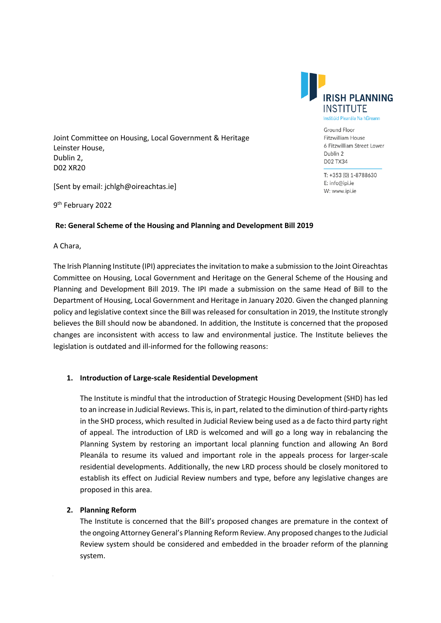Joint Committee on Housing, Local Government & Heritage Leinster House, Dublin 2, D02 XR20

[Sent by email: jchlgh@oireachtas.ie]

9<sup>th</sup> February 2022

## **Re: General Scheme of the Housing and Planning and Development Bill 2019**

A Chara,

The Irish Planning Institute (IPI) appreciates the invitation to make a submission to the Joint Oireachtas Committee on Housing, Local Government and Heritage on the General Scheme of the Housing and Planning and Development Bill 2019. The IPI made a submission on the same Head of Bill to the Department of Housing, Local Government and Heritage in January 2020. Given the changed planning policy and legislative context since the Bill was released for consultation in 2019, the Institute strongly believes the Bill should now be abandoned. In addition, the Institute is concerned that the proposed changes are inconsistent with access to law and environmental justice. The Institute believes the legislation is outdated and ill-informed for the following reasons:

## **1. Introduction of Large-scale Residential Development**

The Institute is mindful that the introduction of Strategic Housing Development (SHD) has led to an increase in Judicial Reviews. This is, in part, related to the diminution of third-party rights in the SHD process, which resulted in Judicial Review being used as a de facto third party right of appeal. The introduction of LRD is welcomed and will go a long way in rebalancing the Planning System by restoring an important local planning function and allowing An Bord Pleanála to resume its valued and important role in the appeals process for larger-scale residential developments. Additionally, the new LRD process should be closely monitored to establish its effect on Judicial Review numbers and type, before any legislative changes are proposed in this area.

## **2. Planning Reform**

The Institute is concerned that the Bill's proposed changes are premature in the context of the ongoing Attorney General's Planning Reform Review. Any proposed changes to the Judicial Review system should be considered and embedded in the broader reform of the planning system.

RISH PLANNING INSTITUTE Institiúid Pleanála Na hÉireann

> Ground Floor Fitzwilliam House 6 Fitzwilliam Street Lower Dublin 2 D02 TX34

T: +353 (0) 1-8788630 E: info@ipi.ie W: www.ipi.ie